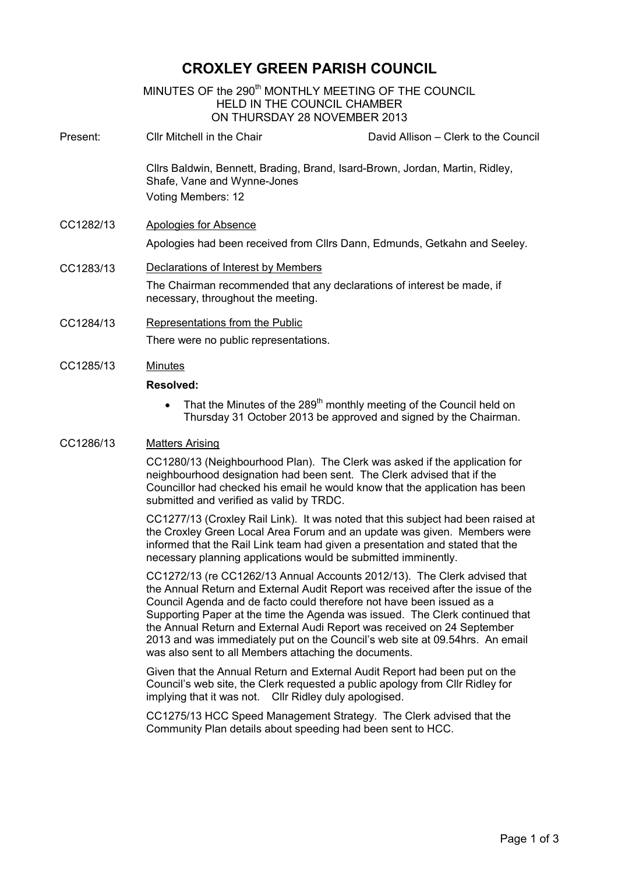# **CROXLEY GREEN PARISH COUNCIL**

MINUTES OF the 290<sup>th</sup> MONTHLY MEETING OF THE COUNCIL HELD IN THE COUNCIL CHAMBER ON THURSDAY 28 NOVEMBER 2013 İ. Present: Cllr Mitchell in the Chair David Allison – Clerk to the Council Cllrs Baldwin, Bennett, Brading, Brand, Isard-Brown, Jordan, Martin, Ridley, Shafe, Vane and Wynne-Jones Voting Members: 12 CC1282/13 Apologies for Absence Apologies had been received from Cllrs Dann, Edmunds, Getkahn and Seeley. CC1283/13 Declarations of Interest by Members The Chairman recommended that any declarations of interest be made, if necessary, throughout the meeting. CC1284/13 Representations from the Public There were no public representations. CC1285/13 Minutes

#### **Resolved:**

• That the Minutes of the 289<sup>th</sup> monthly meeting of the Council held on Thursday 31 October 2013 be approved and signed by the Chairman.

# CC1286/13 Matters Arising

CC1280/13 (Neighbourhood Plan). The Clerk was asked if the application for neighbourhood designation had been sent. The Clerk advised that if the Councillor had checked his email he would know that the application has been submitted and verified as valid by TRDC.

CC1277/13 (Croxley Rail Link). It was noted that this subject had been raised at the Croxley Green Local Area Forum and an update was given. Members were informed that the Rail Link team had given a presentation and stated that the necessary planning applications would be submitted imminently.

CC1272/13 (re CC1262/13 Annual Accounts 2012/13). The Clerk advised that the Annual Return and External Audit Report was received after the issue of the Council Agenda and de facto could therefore not have been issued as a Supporting Paper at the time the Agenda was issued. The Clerk continued that the Annual Return and External Audi Report was received on 24 September 2013 and was immediately put on the Council's web site at 09.54hrs. An email was also sent to all Members attaching the documents.

Given that the Annual Return and External Audit Report had been put on the Council's web site, the Clerk requested a public apology from Cllr Ridley for implying that it was not. Cllr Ridley duly apologised.

CC1275/13 HCC Speed Management Strategy. The Clerk advised that the Community Plan details about speeding had been sent to HCC.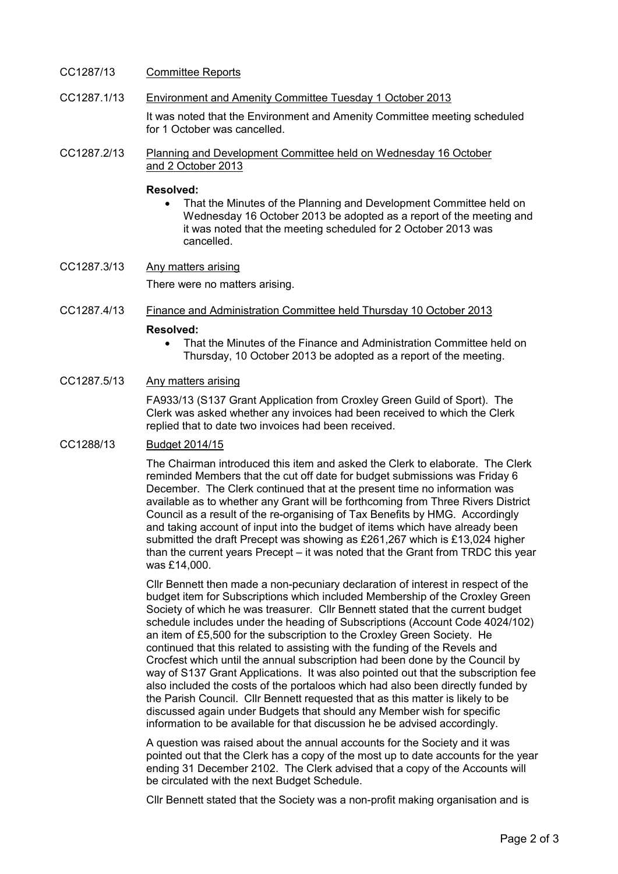### CC1287/13 Committee Reports

- CC1287.1/13 Environment and Amenity Committee Tuesday 1 October 2013 It was noted that the Environment and Amenity Committee meeting scheduled for 1 October was cancelled.
- CC1287.2/13 Planning and Development Committee held on Wednesday 16 October and 2 October 2013

#### **Resolved:**

• That the Minutes of the Planning and Development Committee held on Wednesday 16 October 2013 be adopted as a report of the meeting and it was noted that the meeting scheduled for 2 October 2013 was cancelled.

CC1287.3/13 Any matters arising There were no matters arising.

- CC1287.4/13 Finance and Administration Committee held Thursday 10 October 2013 **Resolved:** 
	- That the Minutes of the Finance and Administration Committee held on Thursday, 10 October 2013 be adopted as a report of the meeting.
- CC1287.5/13 Any matters arising

FA933/13 (S137 Grant Application from Croxley Green Guild of Sport). The Clerk was asked whether any invoices had been received to which the Clerk replied that to date two invoices had been received.

#### CC1288/13 Budget 2014/15

The Chairman introduced this item and asked the Clerk to elaborate. The Clerk reminded Members that the cut off date for budget submissions was Friday 6 December. The Clerk continued that at the present time no information was available as to whether any Grant will be forthcoming from Three Rivers District Council as a result of the re-organising of Tax Benefits by HMG. Accordingly and taking account of input into the budget of items which have already been submitted the draft Precept was showing as £261,267 which is £13,024 higher than the current years Precept – it was noted that the Grant from TRDC this year was £14,000.

Cllr Bennett then made a non-pecuniary declaration of interest in respect of the budget item for Subscriptions which included Membership of the Croxley Green Society of which he was treasurer. Cllr Bennett stated that the current budget schedule includes under the heading of Subscriptions (Account Code 4024/102) an item of £5,500 for the subscription to the Croxley Green Society. He continued that this related to assisting with the funding of the Revels and Crocfest which until the annual subscription had been done by the Council by way of S137 Grant Applications. It was also pointed out that the subscription fee also included the costs of the portaloos which had also been directly funded by the Parish Council. Cllr Bennett requested that as this matter is likely to be discussed again under Budgets that should any Member wish for specific information to be available for that discussion he be advised accordingly.

A question was raised about the annual accounts for the Society and it was pointed out that the Clerk has a copy of the most up to date accounts for the year ending 31 December 2102. The Clerk advised that a copy of the Accounts will be circulated with the next Budget Schedule.

Cllr Bennett stated that the Society was a non-profit making organisation and is